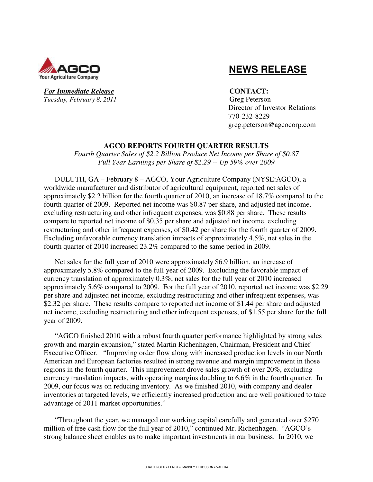

# **NEWS RELEASE**

*For Immediate Release* **CONTACT:** *Tuesday, February 8, 2011* Greg Peterson

 Director of Investor Relations 770-232-8229 greg.peterson@agcocorp.com

### **AGCO REPORTS FOURTH QUARTER RESULTS**

*Fourth Quarter Sales of \$2.2 Billion Produce Net Income per Share of \$0.87 Full Year Earnings per Share of \$2.29 -- Up 59% over 2009* 

DULUTH, GA – February 8 – AGCO, Your Agriculture Company (NYSE:AGCO), a worldwide manufacturer and distributor of agricultural equipment, reported net sales of approximately \$2.2 billion for the fourth quarter of 2010, an increase of 18.7% compared to the fourth quarter of 2009. Reported net income was \$0.87 per share, and adjusted net income, excluding restructuring and other infrequent expenses, was \$0.88 per share. These results compare to reported net income of \$0.35 per share and adjusted net income, excluding restructuring and other infrequent expenses, of \$0.42 per share for the fourth quarter of 2009. Excluding unfavorable currency translation impacts of approximately 4.5%, net sales in the fourth quarter of 2010 increased 23.2% compared to the same period in 2009.

Net sales for the full year of 2010 were approximately \$6.9 billion, an increase of approximately 5.8% compared to the full year of 2009. Excluding the favorable impact of currency translation of approximately 0.3%, net sales for the full year of 2010 increased approximately 5.6% compared to 2009. For the full year of 2010, reported net income was \$2.29 per share and adjusted net income, excluding restructuring and other infrequent expenses, was \$2.32 per share. These results compare to reported net income of \$1.44 per share and adjusted net income, excluding restructuring and other infrequent expenses, of \$1.55 per share for the full year of 2009.

"AGCO finished 2010 with a robust fourth quarter performance highlighted by strong sales growth and margin expansion," stated Martin Richenhagen, Chairman, President and Chief Executive Officer. "Improving order flow along with increased production levels in our North American and European factories resulted in strong revenue and margin improvement in those regions in the fourth quarter. This improvement drove sales growth of over 20%, excluding currency translation impacts, with operating margins doubling to 6.6% in the fourth quarter. In 2009, our focus was on reducing inventory. As we finished 2010, with company and dealer inventories at targeted levels, we efficiently increased production and are well positioned to take advantage of 2011 market opportunities."

"Throughout the year, we managed our working capital carefully and generated over \$270 million of free cash flow for the full year of 2010," continued Mr. Richenhagen. "AGCO's strong balance sheet enables us to make important investments in our business. In 2010, we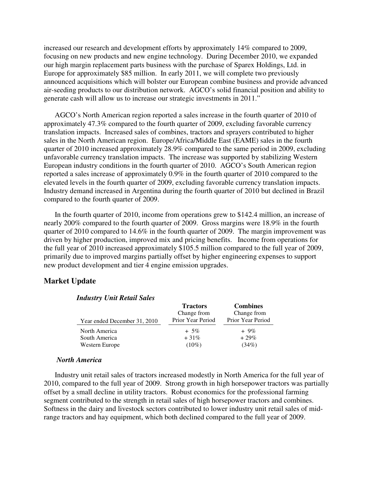increased our research and development efforts by approximately 14% compared to 2009, focusing on new products and new engine technology. During December 2010, we expanded our high margin replacement parts business with the purchase of Sparex Holdings, Ltd. in Europe for approximately \$85 million. In early 2011, we will complete two previously announced acquisitions which will bolster our European combine business and provide advanced air-seeding products to our distribution network. AGCO's solid financial position and ability to generate cash will allow us to increase our strategic investments in 2011."

AGCO's North American region reported a sales increase in the fourth quarter of 2010 of approximately 47.3% compared to the fourth quarter of 2009, excluding favorable currency translation impacts. Increased sales of combines, tractors and sprayers contributed to higher sales in the North American region. Europe/Africa/Middle East (EAME) sales in the fourth quarter of 2010 increased approximately 28.9% compared to the same period in 2009, excluding unfavorable currency translation impacts. The increase was supported by stabilizing Western European industry conditions in the fourth quarter of 2010. AGCO's South American region reported a sales increase of approximately 0.9% in the fourth quarter of 2010 compared to the elevated levels in the fourth quarter of 2009, excluding favorable currency translation impacts. Industry demand increased in Argentina during the fourth quarter of 2010 but declined in Brazil compared to the fourth quarter of 2009.

In the fourth quarter of 2010, income from operations grew to \$142.4 million, an increase of nearly 200% compared to the fourth quarter of 2009. Gross margins were 18.9% in the fourth quarter of 2010 compared to 14.6% in the fourth quarter of 2009. The margin improvement was driven by higher production, improved mix and pricing benefits. Income from operations for the full year of 2010 increased approximately \$105.5 million compared to the full year of 2009, primarily due to improved margins partially offset by higher engineering expenses to support new product development and tier 4 engine emission upgrades.

### **Market Update**

|                              | <b>Tractors</b>   | <b>Combines</b>   |
|------------------------------|-------------------|-------------------|
|                              | Change from       | Change from       |
| Year ended December 31, 2010 | Prior Year Period | Prior Year Period |
| North America                | $+5\%$            | $+9\%$            |
| South America                | $+31\%$           | $+29\%$           |
| Western Europe               | $(10\%)$          | (34%)             |

### *Industry Unit Retail Sales*

#### *North America*

Industry unit retail sales of tractors increased modestly in North America for the full year of 2010, compared to the full year of 2009. Strong growth in high horsepower tractors was partially offset by a small decline in utility tractors. Robust economics for the professional farming segment contributed to the strength in retail sales of high horsepower tractors and combines. Softness in the dairy and livestock sectors contributed to lower industry unit retail sales of midrange tractors and hay equipment, which both declined compared to the full year of 2009.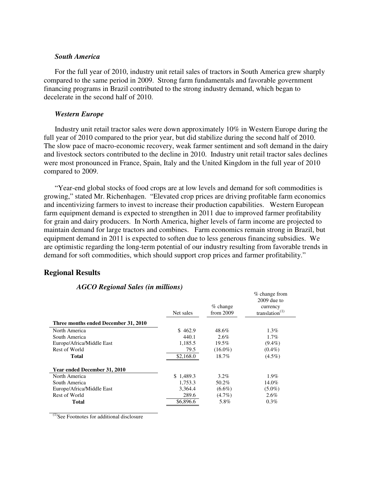### *South America*

For the full year of 2010, industry unit retail sales of tractors in South America grew sharply compared to the same period in 2009. Strong farm fundamentals and favorable government financing programs in Brazil contributed to the strong industry demand, which began to decelerate in the second half of 2010.

### *Western Europe*

Industry unit retail tractor sales were down approximately 10% in Western Europe during the full year of 2010 compared to the prior year, but did stabilize during the second half of 2010. The slow pace of macro-economic recovery, weak farmer sentiment and soft demand in the dairy and livestock sectors contributed to the decline in 2010. Industry unit retail tractor sales declines were most pronounced in France, Spain, Italy and the United Kingdom in the full year of 2010 compared to 2009.

"Year-end global stocks of food crops are at low levels and demand for soft commodities is growing," stated Mr. Richenhagen. "Elevated crop prices are driving profitable farm economics and incentivizing farmers to invest to increase their production capabilities. Western European farm equipment demand is expected to strengthen in 2011 due to improved farmer profitability for grain and dairy producers. In North America, higher levels of farm income are projected to maintain demand for large tractors and combines. Farm economics remain strong in Brazil, but equipment demand in 2011 is expected to soften due to less generous financing subsidies. We are optimistic regarding the long-term potential of our industry resulting from favorable trends in demand for soft commodities, which should support crop prices and farmer profitability."

### **Regional Results**

#### *AGCO Regional Sales (in millions)*

|                                      | Net sales | $%$ change<br>from 2009 | $%$ change from<br>$2009$ due to<br>currency<br>translation $(1)$ |
|--------------------------------------|-----------|-------------------------|-------------------------------------------------------------------|
| Three months ended December 31, 2010 |           |                         |                                                                   |
| North America                        | \$462.9   | 48.6%                   | $1.3\%$                                                           |
| South America                        | 440.1     | $2.6\%$                 | $1.7\%$                                                           |
| Europe/Africa/Middle East            | 1,185.5   | 19.5%                   | $(9.4\%)$                                                         |
| Rest of World                        | 79.5      | $(16.0\%)$              | $(0.4\%)$                                                         |
| Total                                | \$2,168.0 | 18.7%                   | $(4.5\%)$                                                         |
| Year ended December 31, 2010         |           |                         |                                                                   |
| North America                        | \$1,489.3 | $3.2\%$                 | 1.9%                                                              |
| South America                        | 1,753.3   | 50.2%                   | 14.0%                                                             |
| Europe/Africa/Middle East            | 3,364.4   | $(6.6\%)$               | $(5.0\%)$                                                         |
| Rest of World                        | 289.6     | $(4.7\%)$               | $2.6\%$                                                           |
| <b>Total</b>                         | \$6,896.6 | 5.8%                    | $0.3\%$                                                           |

 $<sup>(1)</sup>$ See Footnotes for additional disclosure</sup>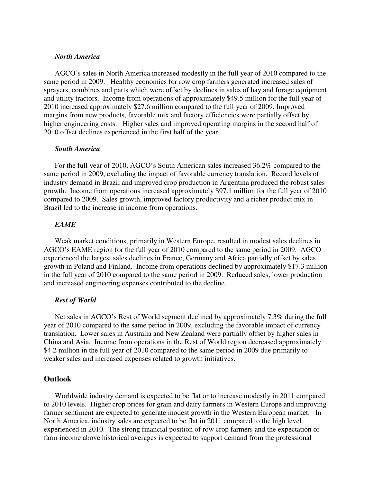### *North America*

AGCO's sales in North America increased modestly in the full year of 2010 compared to the same period in 2009. Healthy economics for row crop farmers generated increased sales of sprayers, combines and parts which were offset by declines in sales of hay and forage equipment and utility tractors. Income from operations of approximately \$49.5 million for the full year of 2010 increased approximately \$27.6 million compared to the full year of 2009. Improved margins from new products, favorable mix and factory efficiencies were partially offset by higher engineering costs. Higher sales and improved operating margins in the second half of 2010 offset declines experienced in the first half of the year.

### *South America*

For the full year of 2010, AGCO's South American sales increased 36.2% compared to the same period in 2009, excluding the impact of favorable currency translation. Record levels of industry demand in Brazil and improved crop production in Argentina produced the robust sales growth. Income from operations increased approximately \$97.1 million for the full year of 2010 compared to 2009. Sales growth, improved factory productivity and a richer product mix in Brazil led to the increase in income from operations.

### *EAME*

Weak market conditions, primarily in Western Europe, resulted in modest sales declines in AGCO's EAME region for the full year of 2010 compared to the same period in 2009. AGCO experienced the largest sales declines in France, Germany and Africa partially offset by sales growth in Poland and Finland. Income from operations declined by approximately \$17.3 million in the full year of 2010 compared to the same period in 2009. Reduced sales, lower production and increased engineering expenses contributed to the decline.

### *Rest of World*

Net sales in AGCO's Rest of World segment declined by approximately 7.3% during the full year of 2010 compared to the same period in 2009, excluding the favorable impact of currency translation. Lower sales in Australia and New Zealand were partially offset by higher sales in China and Asia. Income from operations in the Rest of World region decreased approximately \$4.2 million in the full year of 2010 compared to the same period in 2009 due primarily to weaker sales and increased expenses related to growth initiatives.

### **Outlook**

Worldwide industry demand is expected to be flat or to increase modestly in 2011 compared to 2010 levels. Higher crop prices for grain and dairy farmers in Western Europe and improving farmer sentiment are expected to generate modest growth in the Western European market. In North America, industry sales are expected to be flat in 2011 compared to the high level experienced in 2010. The strong financial position of row crop farmers and the expectation of farm income above historical averages is expected to support demand from the professional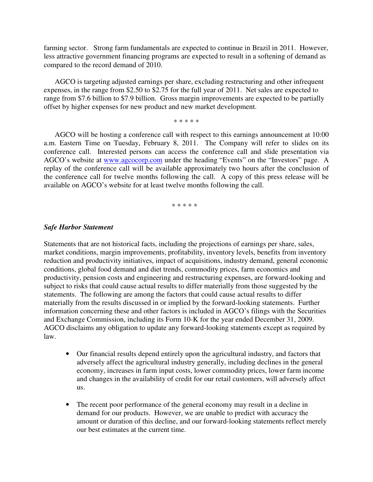farming sector. Strong farm fundamentals are expected to continue in Brazil in 2011. However, less attractive government financing programs are expected to result in a softening of demand as compared to the record demand of 2010.

AGCO is targeting adjusted earnings per share, excluding restructuring and other infrequent expenses, in the range from \$2.50 to \$2.75 for the full year of 2011. Net sales are expected to range from \$7.6 billion to \$7.9 billion. Gross margin improvements are expected to be partially offset by higher expenses for new product and new market development.

\* \* \* \* \*

AGCO will be hosting a conference call with respect to this earnings announcement at 10:00 a.m. Eastern Time on Tuesday, February 8, 2011. The Company will refer to slides on its conference call. Interested persons can access the conference call and slide presentation via AGCO's website at www.agcocorp.com under the heading "Events" on the "Investors" page. A replay of the conference call will be available approximately two hours after the conclusion of the conference call for twelve months following the call. A copy of this press release will be available on AGCO's website for at least twelve months following the call.

\* \* \* \* \*

### *Safe Harbor Statement*

Statements that are not historical facts, including the projections of earnings per share, sales, market conditions, margin improvements, profitability, inventory levels, benefits from inventory reduction and productivity initiatives, impact of acquisitions, industry demand, general economic conditions, global food demand and diet trends, commodity prices, farm economics and productivity, pension costs and engineering and restructuring expenses, are forward-looking and subject to risks that could cause actual results to differ materially from those suggested by the statements. The following are among the factors that could cause actual results to differ materially from the results discussed in or implied by the forward-looking statements. Further information concerning these and other factors is included in AGCO's filings with the Securities and Exchange Commission, including its Form 10-K for the year ended December 31, 2009. AGCO disclaims any obligation to update any forward-looking statements except as required by law.

- Our financial results depend entirely upon the agricultural industry, and factors that adversely affect the agricultural industry generally, including declines in the general economy, increases in farm input costs, lower commodity prices, lower farm income and changes in the availability of credit for our retail customers, will adversely affect us.
- The recent poor performance of the general economy may result in a decline in demand for our products. However, we are unable to predict with accuracy the amount or duration of this decline, and our forward-looking statements reflect merely our best estimates at the current time.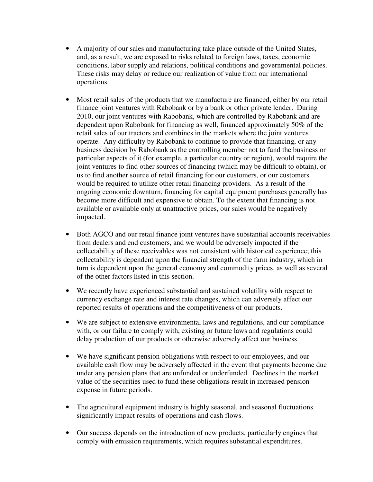- A majority of our sales and manufacturing take place outside of the United States, and, as a result, we are exposed to risks related to foreign laws, taxes, economic conditions, labor supply and relations, political conditions and governmental policies. These risks may delay or reduce our realization of value from our international operations.
- Most retail sales of the products that we manufacture are financed, either by our retail finance joint ventures with Rabobank or by a bank or other private lender. During 2010, our joint ventures with Rabobank, which are controlled by Rabobank and are dependent upon Rabobank for financing as well, financed approximately 50% of the retail sales of our tractors and combines in the markets where the joint ventures operate. Any difficulty by Rabobank to continue to provide that financing, or any business decision by Rabobank as the controlling member not to fund the business or particular aspects of it (for example, a particular country or region), would require the joint ventures to find other sources of financing (which may be difficult to obtain), or us to find another source of retail financing for our customers, or our customers would be required to utilize other retail financing providers. As a result of the ongoing economic downturn, financing for capital equipment purchases generally has become more difficult and expensive to obtain. To the extent that financing is not available or available only at unattractive prices, our sales would be negatively impacted.
- Both AGCO and our retail finance joint ventures have substantial accounts receivables from dealers and end customers, and we would be adversely impacted if the collectability of these receivables was not consistent with historical experience; this collectability is dependent upon the financial strength of the farm industry, which in turn is dependent upon the general economy and commodity prices, as well as several of the other factors listed in this section.
- We recently have experienced substantial and sustained volatility with respect to currency exchange rate and interest rate changes, which can adversely affect our reported results of operations and the competitiveness of our products.
- We are subject to extensive environmental laws and regulations, and our compliance with, or our failure to comply with, existing or future laws and regulations could delay production of our products or otherwise adversely affect our business.
- We have significant pension obligations with respect to our employees, and our available cash flow may be adversely affected in the event that payments become due under any pension plans that are unfunded or underfunded. Declines in the market value of the securities used to fund these obligations result in increased pension expense in future periods.
- The agricultural equipment industry is highly seasonal, and seasonal fluctuations significantly impact results of operations and cash flows.
- Our success depends on the introduction of new products, particularly engines that comply with emission requirements, which requires substantial expenditures.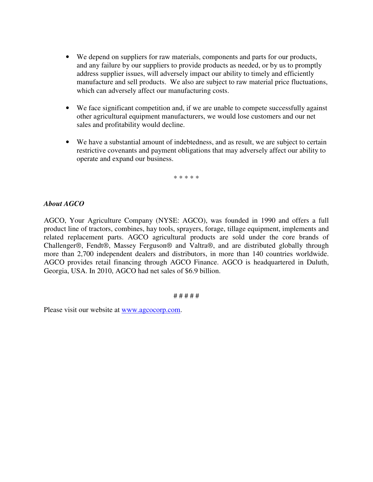- We depend on suppliers for raw materials, components and parts for our products, and any failure by our suppliers to provide products as needed, or by us to promptly address supplier issues, will adversely impact our ability to timely and efficiently manufacture and sell products. We also are subject to raw material price fluctuations, which can adversely affect our manufacturing costs.
- We face significant competition and, if we are unable to compete successfully against other agricultural equipment manufacturers, we would lose customers and our net sales and profitability would decline.
- We have a substantial amount of indebtedness, and as result, we are subject to certain restrictive covenants and payment obligations that may adversely affect our ability to operate and expand our business.

\* \* \* \* \*

### *About AGCO*

AGCO, Your Agriculture Company (NYSE: AGCO), was founded in 1990 and offers a full product line of tractors, combines, hay tools, sprayers, forage, tillage equipment, implements and related replacement parts. AGCO agricultural products are sold under the core brands of Challenger®, Fendt®, Massey Ferguson® and Valtra®, and are distributed globally through more than 2,700 independent dealers and distributors, in more than 140 countries worldwide. AGCO provides retail financing through AGCO Finance. AGCO is headquartered in Duluth, Georgia, USA. In 2010, AGCO had net sales of \$6.9 billion.

# # # # #

Please visit our website at www.agcocorp.com.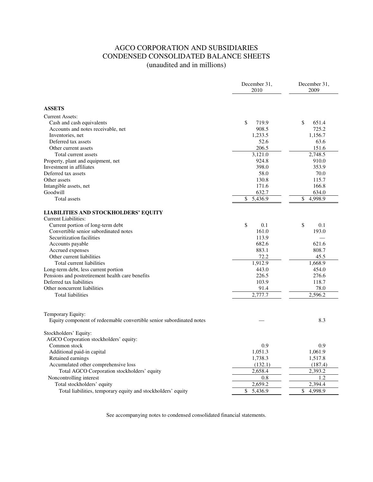### AGCO CORPORATION AND SUBSIDIARIES CONDENSED CONSOLIDATED BALANCE SHEETS (unaudited and in millions)

|                                                                                           | December 31,<br>2010 | December 31,<br>2009 |
|-------------------------------------------------------------------------------------------|----------------------|----------------------|
|                                                                                           |                      |                      |
| <b>ASSETS</b>                                                                             |                      |                      |
| <b>Current Assets:</b>                                                                    |                      |                      |
| Cash and cash equivalents                                                                 | \$<br>719.9          | \$<br>651.4          |
| Accounts and notes receivable, net                                                        | 908.5                | 725.2                |
| Inventories, net                                                                          | 1,233.5              | 1,156.7              |
| Deferred tax assets                                                                       | 52.6                 | 63.6                 |
| Other current assets                                                                      | 206.5                | 151.6                |
| Total current assets                                                                      | 3.121.0              | 2.748.5              |
| Property, plant and equipment, net                                                        | 924.8                | 910.0                |
| Investment in affiliates                                                                  | 398.0                | 353.9                |
| Deferred tax assets                                                                       | 58.0                 | 70.0                 |
| Other assets                                                                              | 130.8                | 115.7                |
| Intangible assets, net                                                                    | 171.6                | 166.8                |
| Goodwill                                                                                  | 632.7                | 634.0                |
| Total assets                                                                              | \$<br>5,436.9        | \$<br>4.998.9        |
| <b>LIABILITIES AND STOCKHOLDERS' EQUITY</b>                                               |                      |                      |
| Current Liabilities:                                                                      |                      |                      |
| Current portion of long-term debt                                                         | \$<br>0.1            | \$<br>0.1            |
| Convertible senior subordinated notes                                                     | 161.0                | 193.0                |
| Securitization facilities                                                                 | 113.9                |                      |
| Accounts payable                                                                          | 682.6                | 621.6                |
| Accrued expenses                                                                          | 883.1                | 808.7                |
| Other current liabilities                                                                 | 72.2                 | 45.5                 |
| Total current liabilities                                                                 | 1,912.9              | 1,668.9              |
| Long-term debt, less current portion                                                      | 443.0                | 454.0                |
| Pensions and postretirement health care benefits                                          | 226.5                | 276.6                |
| Deferred tax liabilities                                                                  | 103.9                | 118.7                |
| Other noncurrent liabilities                                                              | 91.4                 | 78.0                 |
| <b>Total liabilities</b>                                                                  | 2.777.7              | 2.596.2              |
|                                                                                           |                      |                      |
| Temporary Equity:<br>Equity component of redeemable convertible senior subordinated notes |                      | 8.3                  |
|                                                                                           |                      |                      |
| Stockholders' Equity:                                                                     |                      |                      |
| AGCO Corporation stockholders' equity:                                                    |                      |                      |
| Common stock                                                                              | 0.9                  | 0.9                  |
| Additional paid-in capital                                                                | 1,051.3              | 1,061.9              |
| Retained earnings                                                                         | 1,738.3              | 1,517.8              |
| Accumulated other comprehensive loss                                                      | (132.1)              | (187.4)              |
| Total AGCO Corporation stockholders' equity                                               | 2,658.4              | 2,393.2              |
| Noncontrolling interest                                                                   | 0.8                  | 1.2                  |
| Total stockholders' equity                                                                | 2,659.2              | 2,394.4              |
| Total liabilities, temporary equity and stockholders' equity                              | \$<br>5,436.9        | \$<br>4,998.9        |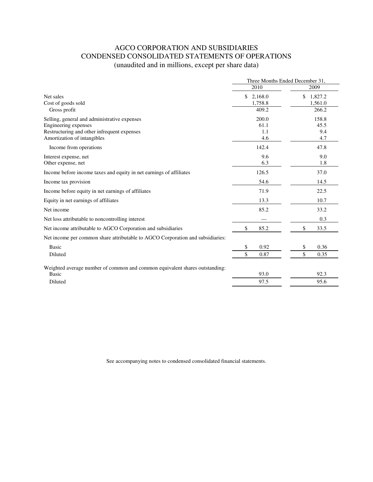# AGCO CORPORATION AND SUBSIDIARIES CONDENSED CONSOLIDATED STATEMENTS OF OPERATIONS (unaudited and in millions, except per share data)

|                                                                                | Three Months Ended December 31, |               |  |
|--------------------------------------------------------------------------------|---------------------------------|---------------|--|
|                                                                                | 2010                            | 2009          |  |
| Net sales                                                                      | \$<br>2,168.0                   | \$<br>1,827.2 |  |
| Cost of goods sold                                                             | 1,758.8                         | 1,561.0       |  |
| Gross profit                                                                   | 409.2                           | 266.2         |  |
| Selling, general and administrative expenses                                   | 200.0                           | 158.8         |  |
| Engineering expenses                                                           | 61.1                            | 45.5          |  |
| Restructuring and other infrequent expenses                                    | 1.1                             | 9.4           |  |
| Amortization of intangibles                                                    | 4.6                             | 4.7           |  |
| Income from operations                                                         | 142.4                           | 47.8          |  |
| Interest expense, net                                                          | 9.6                             | 9.0           |  |
| Other expense, net                                                             | 6.3                             | 1.8           |  |
| Income before income taxes and equity in net earnings of affiliates            | 126.5                           | 37.0          |  |
| Income tax provision                                                           | 54.6                            | 14.5          |  |
| Income before equity in net earnings of affiliates                             | 71.9                            | 22.5          |  |
| Equity in net earnings of affiliates                                           | 13.3                            | 10.7          |  |
| Net income                                                                     | 85.2                            | 33.2          |  |
| Net loss attributable to noncontrolling interest                               |                                 | 0.3           |  |
| Net income attributable to AGCO Corporation and subsidiaries                   | \$<br>85.2                      | \$<br>33.5    |  |
| Net income per common share attributable to AGCO Corporation and subsidiaries: |                                 |               |  |
| <b>Basic</b>                                                                   | 0.92<br>S                       | 0.36<br>\$    |  |
| Diluted                                                                        | 0.87                            | \$<br>0.35    |  |
| Weighted average number of common and common equivalent shares outstanding:    |                                 |               |  |
| <b>Basic</b>                                                                   | 93.0                            | 92.3          |  |
| Diluted                                                                        | 97.5                            | 95.6          |  |
|                                                                                |                                 |               |  |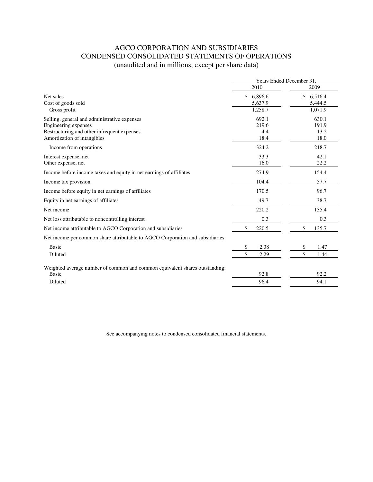# AGCO CORPORATION AND SUBSIDIARIES CONDENSED CONSOLIDATED STATEMENTS OF OPERATIONS (unaudited and in millions, except per share data)

|                                                                                | Years Ended December 31. |               |
|--------------------------------------------------------------------------------|--------------------------|---------------|
|                                                                                | 2010                     | 2009          |
| Net sales                                                                      | \$<br>6,896.6            | \$<br>6,516.4 |
| Cost of goods sold                                                             | 5,637.9                  | 5,444.5       |
| Gross profit                                                                   | 1,258.7                  | 1,071.9       |
| Selling, general and administrative expenses                                   | 692.1                    | 630.1         |
| Engineering expenses                                                           | 219.6                    | 191.9         |
| Restructuring and other infrequent expenses                                    | 4.4                      | 13.2          |
| Amortization of intangibles                                                    | 18.4                     | 18.0          |
| Income from operations                                                         | 324.2                    | 218.7         |
| Interest expense, net                                                          | 33.3                     | 42.1          |
| Other expense, net                                                             | 16.0                     | 22.2          |
| Income before income taxes and equity in net earnings of affiliates            | 274.9                    | 154.4         |
| Income tax provision                                                           | 104.4                    | 57.7          |
| Income before equity in net earnings of affiliates                             | 170.5                    | 96.7          |
| Equity in net earnings of affiliates                                           | 49.7                     | 38.7          |
| Net income                                                                     | 220.2                    | 135.4         |
| Net loss attributable to noncontrolling interest                               | 0.3                      | 0.3           |
| Net income attributable to AGCO Corporation and subsidiaries                   | \$<br>220.5              | \$<br>135.7   |
| Net income per common share attributable to AGCO Corporation and subsidiaries: |                          |               |
| <b>Basic</b>                                                                   | 2.38<br>\$               | \$<br>1.47    |
| Diluted                                                                        | \$<br>2.29               | \$<br>1.44    |
| Weighted average number of common and common equivalent shares outstanding:    |                          |               |
| Basic                                                                          | 92.8                     | 92.2          |
| Diluted                                                                        | 96.4                     | 94.1          |
|                                                                                |                          |               |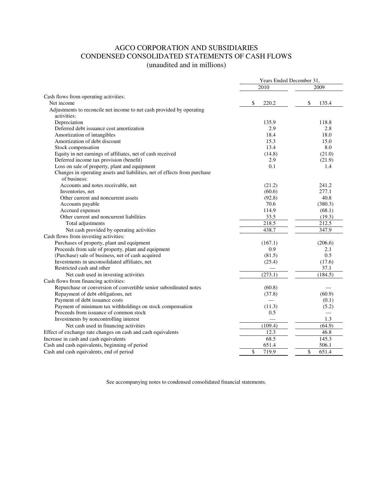### AGCO CORPORATION AND SUBSIDIARIES CONDENSED CONSOLIDATED STATEMENTS OF CASH FLOWS (unaudited and in millions)

|                                                                           | Years Ended December 31, |             |  |
|---------------------------------------------------------------------------|--------------------------|-------------|--|
|                                                                           | $\overline{2010}$        | 2009        |  |
| Cash flows from operating activities:                                     |                          |             |  |
| Net income                                                                | \$<br>220.2              | \$<br>135.4 |  |
| Adjustments to reconcile net income to net cash provided by operating     |                          |             |  |
| activities:                                                               |                          |             |  |
| Depreciation                                                              | 135.9                    | 118.8       |  |
| Deferred debt issuance cost amortization                                  | 2.9                      | 2.8         |  |
| Amortization of intangibles                                               | 18.4                     | 18.0        |  |
| Amortization of debt discount                                             | 15.3                     | 15.0        |  |
| Stock compensation                                                        | 13.4                     | 8.0         |  |
| Equity in net earnings of affiliates, net of cash received                | (14.8)                   | (21.0)      |  |
| Deferred income tax provision (benefit)                                   | 2.9                      | (21.9)      |  |
| Loss on sale of property, plant and equipment                             | 0.1                      | 1.4         |  |
| Changes in operating assets and liabilities, net of effects from purchase |                          |             |  |
| of business:                                                              |                          |             |  |
| Accounts and notes receivable, net                                        | (21.2)                   | 241.2       |  |
| Inventories, net                                                          | (60.6)                   | 277.1       |  |
| Other current and noncurrent assets                                       | (92.8)                   | 40.8        |  |
| Accounts payable                                                          | 70.6                     | (380.3)     |  |
| Accrued expenses                                                          | 114.9                    | (68.1)      |  |
| Other current and noncurrent liabilities                                  | 33.5                     | (19.3)      |  |
| Total adjustments                                                         | 218.5                    | 212.5       |  |
| Net cash provided by operating activities                                 | 438.7                    | 347.9       |  |
| Cash flows from investing activities:                                     |                          |             |  |
| Purchases of property, plant and equipment                                | (167.1)                  | (206.6)     |  |
| Proceeds from sale of property, plant and equipment                       | 0.9                      | 2.1         |  |
| (Purchase) sale of business, net of cash acquired                         | (81.5)                   | 0.5         |  |
| Investments in unconsolidated affiliates, net                             | (25.4)                   | (17.6)      |  |
| Restricted cash and other                                                 |                          | 37.1        |  |
| Net cash used in investing activities                                     | (273.1)                  | (184.5)     |  |
| Cash flows from financing activities:                                     |                          |             |  |
| Repurchase or conversion of convertible senior subordinated notes         | (60.8)                   |             |  |
| Repayment of debt obligations, net                                        | (37.8)                   | (60.9)      |  |
| Payment of debt issuance costs                                            |                          | (0.1)       |  |
| Payment of minimum tax withholdings on stock compensation                 | (11.3)                   | (5.2)       |  |
| Proceeds from issuance of common stock                                    | 0.5                      |             |  |
| Investments by noncontrolling interest                                    |                          | 1.3         |  |
| Net cash used in financing activities                                     | (109.4)                  | (64.9)      |  |
| Effect of exchange rate changes on cash and cash equivalents              | 12.3                     | 46.8        |  |
| Increase in cash and cash equivalents                                     | 68.5                     | 145.3       |  |
| Cash and cash equivalents, beginning of period                            | 651.4                    | 506.1       |  |
| Cash and cash equivalents, end of period                                  | \$<br>719.9              | \$<br>651.4 |  |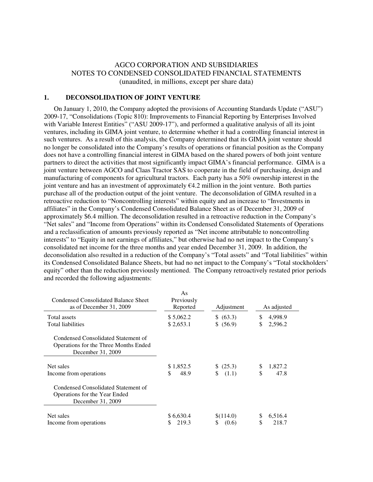### AGCO CORPORATION AND SUBSIDIARIES NOTES TO CONDENSED CONSOLIDATED FINANCIAL STATEMENTS (unaudited, in millions, except per share data)

### **1. DECONSOLIDATION OF JOINT VENTURE**

 On January 1, 2010, the Company adopted the provisions of Accounting Standards Update ("ASU") 2009-17, "Consolidations (Topic 810): Improvements to Financial Reporting by Enterprises Involved with Variable Interest Entities" ("ASU 2009-17"), and performed a qualitative analysis of all its joint ventures, including its GIMA joint venture, to determine whether it had a controlling financial interest in such ventures. As a result of this analysis, the Company determined that its GIMA joint venture should no longer be consolidated into the Company's results of operations or financial position as the Company does not have a controlling financial interest in GIMA based on the shared powers of both joint venture partners to direct the activities that most significantly impact GIMA's financial performance. GIMA is a joint venture between AGCO and Claas Tractor SAS to cooperate in the field of purchasing, design and manufacturing of components for agricultural tractors. Each party has a 50% ownership interest in the joint venture and has an investment of approximately  $64.2$  million in the joint venture. Both parties purchase all of the production output of the joint venture. The deconsolidation of GIMA resulted in a retroactive reduction to "Noncontrolling interests" within equity and an increase to "Investments in affiliates" in the Company's Condensed Consolidated Balance Sheet as of December 31, 2009 of approximately \$6.4 million. The deconsolidation resulted in a retroactive reduction in the Company's "Net sales" and "Income from Operations" within its Condensed Consolidated Statements of Operations and a reclassification of amounts previously reported as "Net income attributable to noncontrolling interests" to "Equity in net earnings of affiliates," but otherwise had no net impact to the Company's consolidated net income for the three months and year ended December 31, 2009. In addition, the deconsolidation also resulted in a reduction of the Company's "Total assets" and "Total liabilities" within its Condensed Consolidated Balance Sheets, but had no net impact to the Company's "Total stockholders' equity" other than the reduction previously mentioned. The Company retroactively restated prior periods and recorded the following adjustments:

| Condensed Consolidated Balance Sheet<br>as of December 31, 2009                                   | As<br>Previously<br>Reported | Adjustment  | As adjusted   |
|---------------------------------------------------------------------------------------------------|------------------------------|-------------|---------------|
| Total assets                                                                                      | \$5,062.2                    | \$ (63.3)   | \$<br>4,998.9 |
| Total liabilities                                                                                 | \$2,653.1                    | \$ (56.9)   | \$<br>2,596.2 |
| Condensed Consolidated Statement of<br>Operations for the Three Months Ended<br>December 31, 2009 |                              |             |               |
| Net sales                                                                                         | \$1,852.5                    | \$ (25.3)   | \$<br>1,827.2 |
| Income from operations                                                                            | \$<br>48.9                   | \$<br>(1.1) | \$<br>47.8    |
| Condensed Consolidated Statement of<br>Operations for the Year Ended<br>December 31, 2009         |                              |             |               |
| Net sales                                                                                         | \$6,630.4                    | \$(114.0)   | \$<br>6,516.4 |
| Income from operations                                                                            | 219.3<br>S                   | (0.6)<br>\$ | \$<br>218.7   |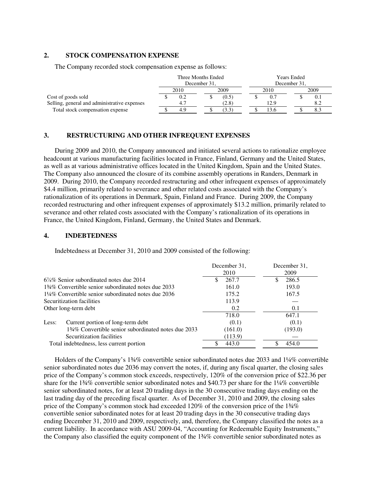### **2. STOCK COMPENSATION EXPENSE**

The Company recorded stock compensation expense as follows:

|                                              | Three Months Ended<br>December 31. |      | Years Ended<br>December 31. |  |      |  |      |
|----------------------------------------------|------------------------------------|------|-----------------------------|--|------|--|------|
|                                              |                                    | 2010 | 2009                        |  | 2010 |  | 2009 |
| Cost of goods sold                           |                                    |      | (0.5)                       |  | 0.7  |  | U.I  |
| Selling, general and administrative expenses |                                    | 4.7  | (2.8)                       |  | 12.9 |  |      |
| Total stock compensation expense             |                                    | 4.9  | 3.3                         |  | 13.6 |  | o.J  |

#### **3. RESTRUCTURING AND OTHER INFREQUENT EXPENSES**

During 2009 and 2010, the Company announced and initiated several actions to rationalize employee headcount at various manufacturing facilities located in France, Finland, Germany and the United States, as well as at various administrative offices located in the United Kingdom, Spain and the United States. The Company also announced the closure of its combine assembly operations in Randers, Denmark in 2009. During 2010, the Company recorded restructuring and other infrequent expenses of approximately \$4.4 million, primarily related to severance and other related costs associated with the Company's rationalization of its operations in Denmark, Spain, Finland and France. During 2009, the Company recorded restructuring and other infrequent expenses of approximately \$13.2 million, primarily related to severance and other related costs associated with the Company's rationalization of its operations in France, the United Kingdom, Finland, Germany, the United States and Denmark.

### **4. INDEBTEDNESS**

Indebtedness at December 31, 2010 and 2009 consisted of the following:

|                                                      | December 31,<br>2010 | December 31.<br>2009 |
|------------------------------------------------------|----------------------|----------------------|
| $6\%$ % Senior subordinated notes due 2014           | 267.7<br>S           | 286.5                |
| 134\% Convertible senior subordinated notes due 2033 | 161.0                | 193.0                |
| 1¼% Convertible senior subordinated notes due 2036   | 175.2                | 167.5                |
| Securitization facilities                            | 113.9                |                      |
| Other long-term debt                                 | 0.2                  | 0.1                  |
|                                                      | 718.0                | 647.1                |
| Less:<br>Current portion of long-term debt           | (0.1)                | (0.1)                |
| 134% Convertible senior subordinated notes due 2033  | (161.0)              | (193.0)              |
| Securitization facilities                            | (113.9)              |                      |
| Total indebtedness, less current portion             | 443.0                | 454.0                |

 Holders of the Company's 1¾% convertible senior subordinated notes due 2033 and 1¼% convertible senior subordinated notes due 2036 may convert the notes, if, during any fiscal quarter, the closing sales price of the Company's common stock exceeds, respectively, 120% of the conversion price of \$22.36 per share for the 1¾% convertible senior subordinated notes and \$40.73 per share for the 1¼% convertible senior subordinated notes, for at least 20 trading days in the 30 consecutive trading days ending on the last trading day of the preceding fiscal quarter. As of December 31, 2010 and 2009, the closing sales price of the Company's common stock had exceeded 120% of the conversion price of the 1¾% convertible senior subordinated notes for at least 20 trading days in the 30 consecutive trading days ending December 31, 2010 and 2009, respectively, and, therefore, the Company classified the notes as a current liability. In accordance with ASU 2009-04, "Accounting for Redeemable Equity Instruments," the Company also classified the equity component of the 1¾% convertible senior subordinated notes as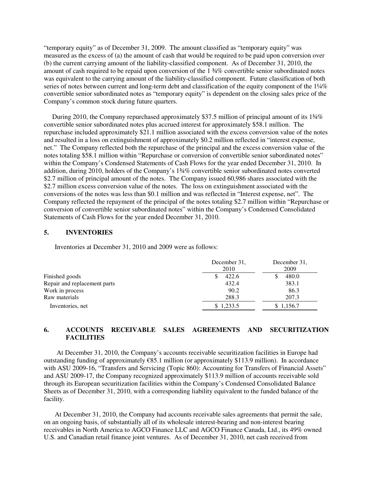"temporary equity" as of December 31, 2009. The amount classified as "temporary equity" was measured as the excess of (a) the amount of cash that would be required to be paid upon conversion over (b) the current carrying amount of the liability-classified component. As of December 31, 2010, the amount of cash required to be repaid upon conversion of the 1 ¾% convertible senior subordinated notes was equivalent to the carrying amount of the liability-classified component. Future classification of both series of notes between current and long-term debt and classification of the equity component of the 1¼% convertible senior subordinated notes as "temporary equity" is dependent on the closing sales price of the Company's common stock during future quarters.

 During 2010, the Company repurchased approximately \$37.5 million of principal amount of its 1¾% convertible senior subordinated notes plus accrued interest for approximately \$58.1 million. The repurchase included approximately \$21.1 million associated with the excess conversion value of the notes and resulted in a loss on extinguishment of approximately \$0.2 million reflected in "interest expense, net." The Company reflected both the repurchase of the principal and the excess conversion value of the notes totaling \$58.1 million within "Repurchase or conversion of convertible senior subordinated notes" within the Company's Condensed Statements of Cash Flows for the year ended December 31, 2010. In addition, during 2010, holders of the Company's 1¾% convertible senior subordinated notes converted \$2.7 million of principal amount of the notes. The Company issued 60,986 shares associated with the \$2.7 million excess conversion value of the notes. The loss on extinguishment associated with the conversions of the notes was less than \$0.1 million and was reflected in "Interest expense, net". The Company reflected the repayment of the principal of the notes totaling \$2.7 million within "Repurchase or conversion of convertible senior subordinated notes" within the Company's Condensed Consolidated Statements of Cash Flows for the year ended December 31, 2010.

### **5. INVENTORIES**

Inventories at December 31, 2010 and 2009 were as follows:

|                              | December 31,<br>2010 | December 31,<br>2009 |  |
|------------------------------|----------------------|----------------------|--|
| Finished goods               | 422.6                | 480.0                |  |
| Repair and replacement parts | 432.4                | 383.1                |  |
| Work in process              | 90.2                 | 86.3                 |  |
| Raw materials                | 288.3                | 207.3                |  |
| Inventories, net             | \$1,233.5            | \$1,156.7            |  |

#### **6. ACCOUNTS RECEIVABLE SALES AGREEMENTS AND SECURITIZATION FACILITIES**

 At December 31, 2010, the Company's accounts receivable securitization facilities in Europe had outstanding funding of approximately  $E85.1$  million (or approximately \$113.9 million). In accordance with ASU 2009-16, "Transfers and Servicing (Topic 860): Accounting for Transfers of Financial Assets" and ASU 2009-17, the Company recognized approximately \$113.9 million of accounts receivable sold through its European securitization facilities within the Company's Condensed Consolidated Balance Sheets as of December 31, 2010, with a corresponding liability equivalent to the funded balance of the facility.

At December 31, 2010, the Company had accounts receivable sales agreements that permit the sale, on an ongoing basis, of substantially all of its wholesale interest-bearing and non-interest bearing receivables in North America to AGCO Finance LLC and AGCO Finance Canada, Ltd., its 49% owned U.S. and Canadian retail finance joint ventures. As of December 31, 2010, net cash received from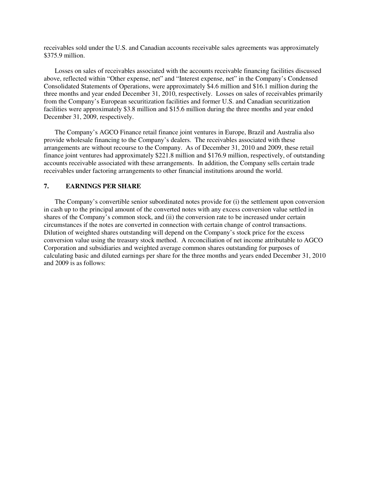receivables sold under the U.S. and Canadian accounts receivable sales agreements was approximately \$375.9 million.

Losses on sales of receivables associated with the accounts receivable financing facilities discussed above, reflected within "Other expense, net" and "Interest expense, net" in the Company's Condensed Consolidated Statements of Operations, were approximately \$4.6 million and \$16.1 million during the three months and year ended December 31, 2010, respectively. Losses on sales of receivables primarily from the Company's European securitization facilities and former U.S. and Canadian securitization facilities were approximately \$3.8 million and \$15.6 million during the three months and year ended December 31, 2009, respectively.

The Company's AGCO Finance retail finance joint ventures in Europe, Brazil and Australia also provide wholesale financing to the Company's dealers. The receivables associated with these arrangements are without recourse to the Company. As of December 31, 2010 and 2009, these retail finance joint ventures had approximately \$221.8 million and \$176.9 million, respectively, of outstanding accounts receivable associated with these arrangements. In addition, the Company sells certain trade receivables under factoring arrangements to other financial institutions around the world.

### **7. EARNINGS PER SHARE**

The Company's convertible senior subordinated notes provide for (i) the settlement upon conversion in cash up to the principal amount of the converted notes with any excess conversion value settled in shares of the Company's common stock, and (ii) the conversion rate to be increased under certain circumstances if the notes are converted in connection with certain change of control transactions. Dilution of weighted shares outstanding will depend on the Company's stock price for the excess conversion value using the treasury stock method. A reconciliation of net income attributable to AGCO Corporation and subsidiaries and weighted average common shares outstanding for purposes of calculating basic and diluted earnings per share for the three months and years ended December 31, 2010 and 2009 is as follows: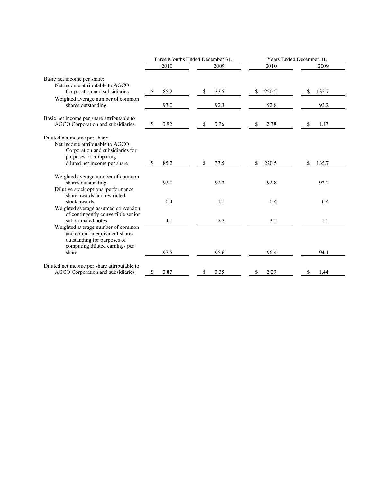|                                                                                                                                                               |            | Three Months Ended December 31, | Years Ended December 31, |            |  |
|---------------------------------------------------------------------------------------------------------------------------------------------------------------|------------|---------------------------------|--------------------------|------------|--|
|                                                                                                                                                               | 2010       | 2009                            | 2010                     | 2009       |  |
| Basic net income per share:<br>Net income attributable to AGCO<br>Corporation and subsidiaries                                                                | 85.2<br>\$ | 33.5                            | 220.5<br>\$              | 135.7<br>S |  |
| Weighted average number of common<br>shares outstanding                                                                                                       | 93.0       | 92.3                            | 92.8                     | 92.2       |  |
| Basic net income per share attributable to<br>AGCO Corporation and subsidiaries                                                                               | \$<br>0.92 | 0.36<br>S                       | 2.38<br>\$               | 1.47<br>\$ |  |
| Diluted net income per share:<br>Net income attributable to AGCO<br>Corporation and subsidiaries for<br>purposes of computing<br>diluted net income per share | 85.2<br>\$ | 33.5                            | 220.5<br>S               | 135.7      |  |
| Weighted average number of common<br>shares outstanding<br>Dilutive stock options, performance<br>share awards and restricted                                 | 93.0       | 92.3                            | 92.8                     | 92.2       |  |
| stock awards<br>Weighted average assumed conversion<br>of contingently convertible senior<br>subordinated notes                                               | 0.4<br>4.1 | 1.1<br>2.2                      | 0.4<br>3.2               | 0.4<br>1.5 |  |
| Weighted average number of common<br>and common equivalent shares<br>outstanding for purposes of<br>computing diluted earnings per<br>share                   | 97.5       | 95.6                            | 96.4                     | 94.1       |  |
| Diluted net income per share attributable to<br>AGCO Corporation and subsidiaries                                                                             | 0.87<br>\$ | 0.35<br>\$                      | 2.29<br>\$               | 1.44<br>\$ |  |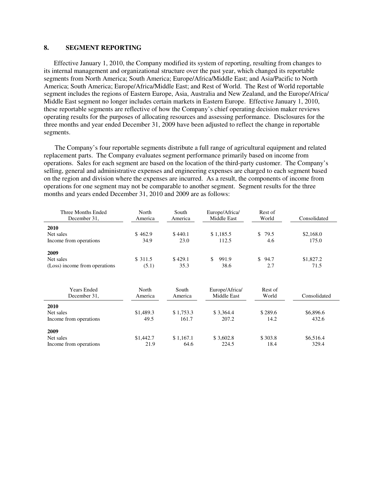#### **8. SEGMENT REPORTING**

 Effective January 1, 2010, the Company modified its system of reporting, resulting from changes to its internal management and organizational structure over the past year, which changed its reportable segments from North America; South America; Europe/Africa/Middle East; and Asia/Pacific to North America; South America; Europe/Africa/Middle East; and Rest of World. The Rest of World reportable segment includes the regions of Eastern Europe, Asia, Australia and New Zealand, and the Europe/Africa/ Middle East segment no longer includes certain markets in Eastern Europe. Effective January 1, 2010, these reportable segments are reflective of how the Company's chief operating decision maker reviews operating results for the purposes of allocating resources and assessing performance. Disclosures for the three months and year ended December 31, 2009 have been adjusted to reflect the change in reportable segments.

The Company's four reportable segments distribute a full range of agricultural equipment and related replacement parts. The Company evaluates segment performance primarily based on income from operations. Sales for each segment are based on the location of the third-party customer. The Company's selling, general and administrative expenses and engineering expenses are charged to each segment based on the region and division where the expenses are incurred. As a result, the components of income from operations for one segment may not be comparable to another segment. Segment results for the three months and years ended December 31, 2010 and 2009 are as follows:

| Three Months Ended<br>December 31. | North<br>America | South<br>America | Europe/Africa/<br>Middle East | Rest of<br>World     | Consolidated |
|------------------------------------|------------------|------------------|-------------------------------|----------------------|--------------|
|                                    |                  |                  |                               |                      |              |
| 2010                               |                  |                  |                               |                      |              |
| Net sales                          | \$462.9          | \$440.1          | \$1,185.5                     | $\mathbb{S}$<br>79.5 | \$2,168.0    |
| Income from operations             | 34.9             | 23.0             | 112.5                         | 4.6                  | 175.0        |
| 2009                               |                  |                  |                               |                      |              |
| Net sales                          | \$ 311.5         | \$429.1          | 991.9<br>\$                   | $\mathbb{S}$<br>94.7 | \$1,827.2    |
| (Loss) income from operations      | (5.1)            | 35.3             | 38.6                          | 2.7                  | 71.5         |
|                                    |                  |                  |                               |                      |              |
| <b>Years Ended</b>                 | North            | South            | Europe/Africa/                | Rest of              |              |
| December 31.                       | America          | America          | Middle East                   | World                | Consolidated |
| 2010                               |                  |                  |                               |                      |              |
| Net sales                          | \$1,489.3        | \$1,753.3        | \$3,364.4                     | \$289.6              | \$6,896.6    |
| Income from operations             | 49.5             | 161.7            | 207.2                         | 14.2                 | 432.6        |
| 2009                               |                  |                  |                               |                      |              |
| Net sales                          | \$1,442.7        | \$1,167.1        | \$3,602.8                     | \$303.8              | \$6,516.4    |
| Income from operations             | 21.9             | 64.6             | 224.5                         | 18.4                 | 329.4        |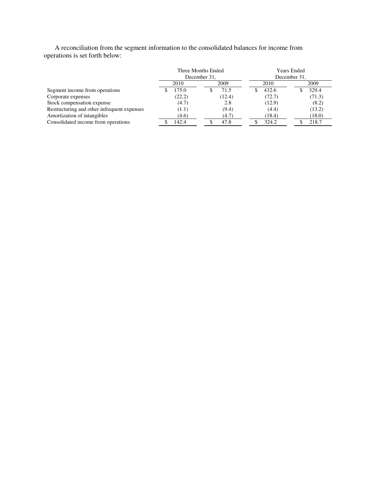A reconciliation from the segment information to the consolidated balances for income from operations is set forth below:

|                                             | Three Months Ended |        |  | <b>Years Ended</b> |        |  |        |
|---------------------------------------------|--------------------|--------|--|--------------------|--------|--|--------|
|                                             | December 31.       |        |  | December 31.       |        |  |        |
|                                             |                    | 2010   |  | 2009               | 2010   |  | 2009   |
| Segment income from operations              |                    | 175.0  |  | 71.5               | 432.6  |  | 329.4  |
| Corporate expenses                          |                    | (22.2) |  | (12.4)             | (72.7) |  | (71.3) |
| Stock compensation expense                  |                    | (4.7)  |  | 2.8                | (12.9) |  | (8.2)  |
| Restructuring and other infrequent expenses |                    | (1.1)  |  | (9.4)              | (4.4)  |  | (13.2) |
| Amortization of intangibles                 |                    | (4.6)  |  | (4.7)              | (18.4) |  | (18.0) |
| Consolidated income from operations         |                    | 142.4  |  | 47.8               | 324.2  |  | 218.7  |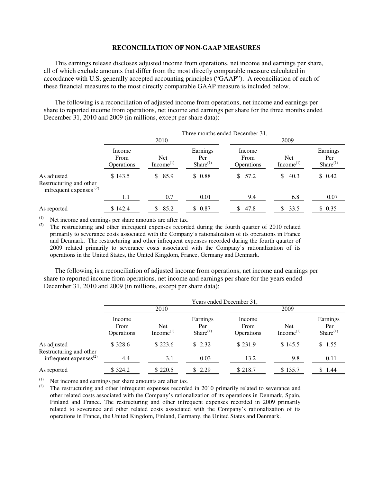#### **RECONCILIATION OF NON-GAAP MEASURES**

This earnings release discloses adjusted income from operations, net income and earnings per share, all of which exclude amounts that differ from the most directly comparable measure calculated in accordance with U.S. generally accepted accounting principles ("GAAP"). A reconciliation of each of these financial measures to the most directly comparable GAAP measure is included below.

The following is a reconciliation of adjusted income from operations, net income and earnings per share to reported income from operations, net income and earnings per share for the three months ended December 31, 2010 and 2009 (in millions, except per share data):

|                                                                     | Three months ended December 31,     |                                     |                                |                                     |                                     |                                |  |
|---------------------------------------------------------------------|-------------------------------------|-------------------------------------|--------------------------------|-------------------------------------|-------------------------------------|--------------------------------|--|
|                                                                     | 2010                                |                                     |                                | 2009                                |                                     |                                |  |
|                                                                     | Income<br>From<br><b>Operations</b> | <b>Net</b><br>Income <sup>(1)</sup> | Earnings<br>Per<br>Share $(1)$ | Income<br>From<br><b>Operations</b> | <b>Net</b><br>Income <sup>(1)</sup> | Earnings<br>Per<br>Share $(1)$ |  |
| As adjusted<br>Restructuring and other<br>infrequent expenses $(2)$ | \$143.5                             | \$85.9                              | \$0.88                         | \$57.2                              | 40.3<br><sup>\$</sup>               | \$0.42                         |  |
|                                                                     | 1.1                                 | 0.7                                 | 0.01                           | 9.4                                 | 6.8                                 | 0.07                           |  |
| As reported                                                         | \$142.4                             | \$85.2                              | \$0.87                         | \$47.8                              | 33.5<br>S.                          | \$0.35                         |  |

(1) Net income and earnings per share amounts are after tax.<br>(2) The restructuring and other infrastruct expenses record

The restructuring and other infrequent expenses recorded during the fourth quarter of 2010 related primarily to severance costs associated with the Company's rationalization of its operations in France and Denmark. The restructuring and other infrequent expenses recorded during the fourth quarter of 2009 related primarily to severance costs associated with the Company's rationalization of its operations in the United States, the United Kingdom, France, Germany and Denmark.

The following is a reconciliation of adjusted income from operations, net income and earnings per share to reported income from operations, net income and earnings per share for the years ended December 31, 2010 and 2009 (in millions, except per share data):

|                                        | Years ended December 31,     |                                     |                                |                                     |                                     |                                  |
|----------------------------------------|------------------------------|-------------------------------------|--------------------------------|-------------------------------------|-------------------------------------|----------------------------------|
|                                        |                              | 2010                                |                                | 2009                                |                                     |                                  |
|                                        | Income<br>From<br>Operations | <b>Net</b><br>Income <sup>(1)</sup> | Earnings<br>Per<br>Share $(1)$ | Income<br>From<br><b>Operations</b> | <b>Net</b><br>Income <sup>(1)</sup> | Earnings<br>Per<br>$Share^{(1)}$ |
| As adjusted<br>Restructuring and other | \$328.6                      | \$223.6                             | \$2.32                         | \$231.9                             | \$145.5                             | \$1.55                           |
| infrequent expenses $^{(2)}$           | 4.4                          | 3.1                                 | 0.03                           | 13.2                                | 9.8                                 | 0.11                             |
| As reported                            | \$324.2                      | \$220.5                             | \$2.29                         | \$218.7                             | \$135.7                             | \$1.44                           |

(1) Net income and earnings per share amounts are after tax.<br>(2) The restructuring and other infractuant expenses recorded

The restructuring and other infrequent expenses recorded in 2010 primarily related to severance and other related costs associated with the Company's rationalization of its operations in Denmark, Spain, Finland and France. The restructuring and other infrequent expenses recorded in 2009 primarily related to severance and other related costs associated with the Company's rationalization of its operations in France, the United Kingdom, Finland, Germany, the United States and Denmark.